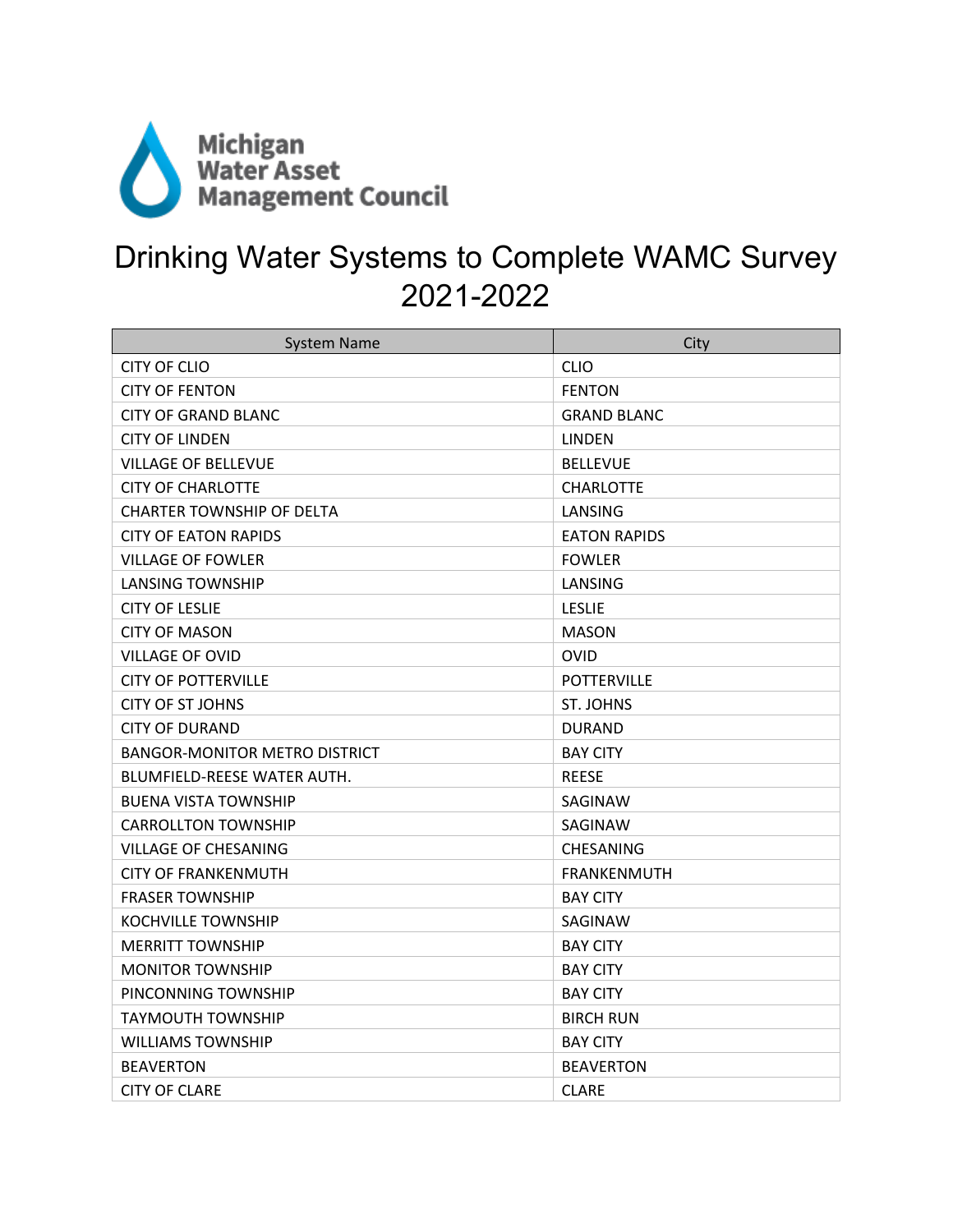

## Drinking Water Systems to Complete WAMC Survey 2021-2022

| <b>System Name</b>                   | City                |
|--------------------------------------|---------------------|
| CITY OF CLIO                         | <b>CLIO</b>         |
| <b>CITY OF FENTON</b>                | <b>FENTON</b>       |
| <b>CITY OF GRAND BLANC</b>           | <b>GRAND BLANC</b>  |
| <b>CITY OF LINDEN</b>                | <b>LINDEN</b>       |
| <b>VILLAGE OF BELLEVUE</b>           | <b>BELLEVUE</b>     |
| <b>CITY OF CHARLOTTE</b>             | <b>CHARLOTTE</b>    |
| <b>CHARTER TOWNSHIP OF DELTA</b>     | LANSING             |
| <b>CITY OF EATON RAPIDS</b>          | <b>EATON RAPIDS</b> |
| <b>VILLAGE OF FOWLER</b>             | <b>FOWLER</b>       |
| LANSING TOWNSHIP                     | LANSING             |
| <b>CITY OF LESLIE</b>                | <b>LESLIE</b>       |
| <b>CITY OF MASON</b>                 | <b>MASON</b>        |
| <b>VILLAGE OF OVID</b>               | <b>OVID</b>         |
| <b>CITY OF POTTERVILLE</b>           | <b>POTTERVILLE</b>  |
| <b>CITY OF ST JOHNS</b>              | ST. JOHNS           |
| <b>CITY OF DURAND</b>                | <b>DURAND</b>       |
| <b>BANGOR-MONITOR METRO DISTRICT</b> | <b>BAY CITY</b>     |
| BLUMFIELD-REESE WATER AUTH.          | <b>REESE</b>        |
| <b>BUENA VISTA TOWNSHIP</b>          | SAGINAW             |
| <b>CARROLLTON TOWNSHIP</b>           | SAGINAW             |
| <b>VILLAGE OF CHESANING</b>          | <b>CHESANING</b>    |
| <b>CITY OF FRANKENMUTH</b>           | <b>FRANKENMUTH</b>  |
| <b>FRASER TOWNSHIP</b>               | <b>BAY CITY</b>     |
| KOCHVILLE TOWNSHIP                   | SAGINAW             |
| <b>MERRITT TOWNSHIP</b>              | <b>BAY CITY</b>     |
| <b>MONITOR TOWNSHIP</b>              | <b>BAY CITY</b>     |
| PINCONNING TOWNSHIP                  | <b>BAY CITY</b>     |
| <b>TAYMOUTH TOWNSHIP</b>             | <b>BIRCH RUN</b>    |
| <b>WILLIAMS TOWNSHIP</b>             | <b>BAY CITY</b>     |
| <b>BEAVERTON</b>                     | <b>BEAVERTON</b>    |
| <b>CITY OF CLARE</b>                 | <b>CLARE</b>        |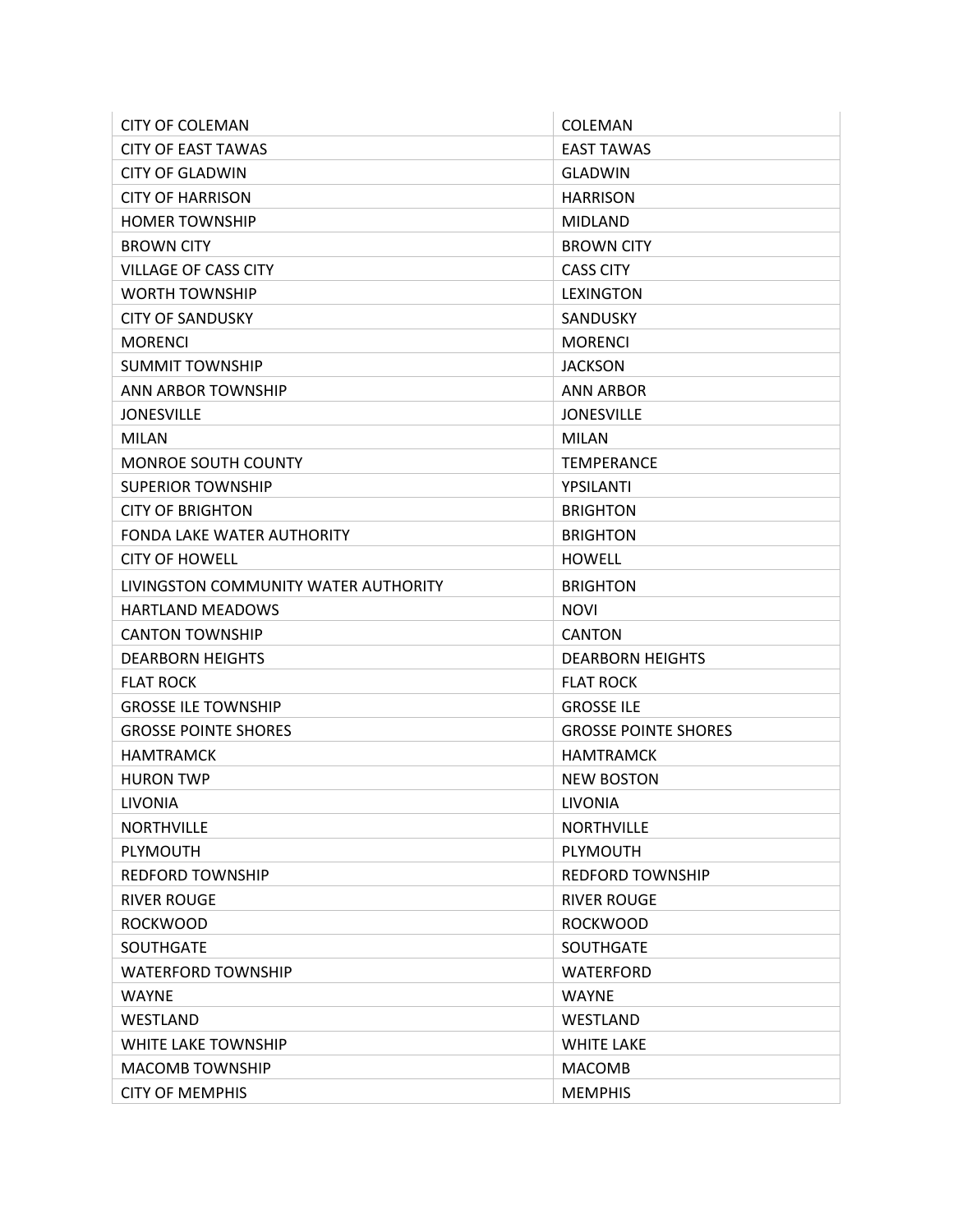| <b>CITY OF COLEMAN</b>               | COLEMAN                     |
|--------------------------------------|-----------------------------|
| <b>CITY OF EAST TAWAS</b>            | <b>EAST TAWAS</b>           |
| <b>CITY OF GLADWIN</b>               | <b>GLADWIN</b>              |
| <b>CITY OF HARRISON</b>              | <b>HARRISON</b>             |
| <b>HOMER TOWNSHIP</b>                | <b>MIDLAND</b>              |
| <b>BROWN CITY</b>                    | <b>BROWN CITY</b>           |
| <b>VILLAGE OF CASS CITY</b>          | <b>CASS CITY</b>            |
| <b>WORTH TOWNSHIP</b>                | <b>LEXINGTON</b>            |
| <b>CITY OF SANDUSKY</b>              | <b>SANDUSKY</b>             |
| <b>MORENCI</b>                       | <b>MORENCI</b>              |
| <b>SUMMIT TOWNSHIP</b>               | <b>JACKSON</b>              |
| <b>ANN ARBOR TOWNSHIP</b>            | <b>ANN ARBOR</b>            |
| <b>JONESVILLE</b>                    | <b>JONESVILLE</b>           |
| <b>MILAN</b>                         | <b>MILAN</b>                |
| <b>MONROE SOUTH COUNTY</b>           | <b>TEMPERANCE</b>           |
| <b>SUPERIOR TOWNSHIP</b>             | YPSILANTI                   |
| <b>CITY OF BRIGHTON</b>              | <b>BRIGHTON</b>             |
| <b>FONDA LAKE WATER AUTHORITY</b>    | <b>BRIGHTON</b>             |
| <b>CITY OF HOWELL</b>                | <b>HOWELL</b>               |
| LIVINGSTON COMMUNITY WATER AUTHORITY | <b>BRIGHTON</b>             |
| <b>HARTLAND MEADOWS</b>              | <b>NOVI</b>                 |
| <b>CANTON TOWNSHIP</b>               | <b>CANTON</b>               |
| <b>DEARBORN HEIGHTS</b>              | <b>DEARBORN HEIGHTS</b>     |
| <b>FLAT ROCK</b>                     | <b>FLAT ROCK</b>            |
| <b>GROSSE ILE TOWNSHIP</b>           | <b>GROSSE ILE</b>           |
| <b>GROSSE POINTE SHORES</b>          | <b>GROSSE POINTE SHORES</b> |
| <b>HAMTRAMCK</b>                     | <b>HAMTRAMCK</b>            |
| <b>HURON TWP</b>                     | <b>NEW BOSTON</b>           |
| LIVONIA                              | LIVONIA                     |
| <b>NORTHVILLE</b>                    | <b>NORTHVILLE</b>           |
| <b>PLYMOUTH</b>                      | <b>PLYMOUTH</b>             |
| <b>REDFORD TOWNSHIP</b>              | <b>REDFORD TOWNSHIP</b>     |
| <b>RIVER ROUGE</b>                   | <b>RIVER ROUGE</b>          |
| <b>ROCKWOOD</b>                      | <b>ROCKWOOD</b>             |
| <b>SOUTHGATE</b>                     | <b>SOUTHGATE</b>            |
| <b>WATERFORD TOWNSHIP</b>            | <b>WATERFORD</b>            |
| <b>WAYNE</b>                         | <b>WAYNE</b>                |
| WESTLAND                             | WESTLAND                    |
| <b>WHITE LAKE TOWNSHIP</b>           | <b>WHITE LAKE</b>           |
| <b>MACOMB TOWNSHIP</b>               | <b>MACOMB</b>               |
| <b>CITY OF MEMPHIS</b>               | <b>MEMPHIS</b>              |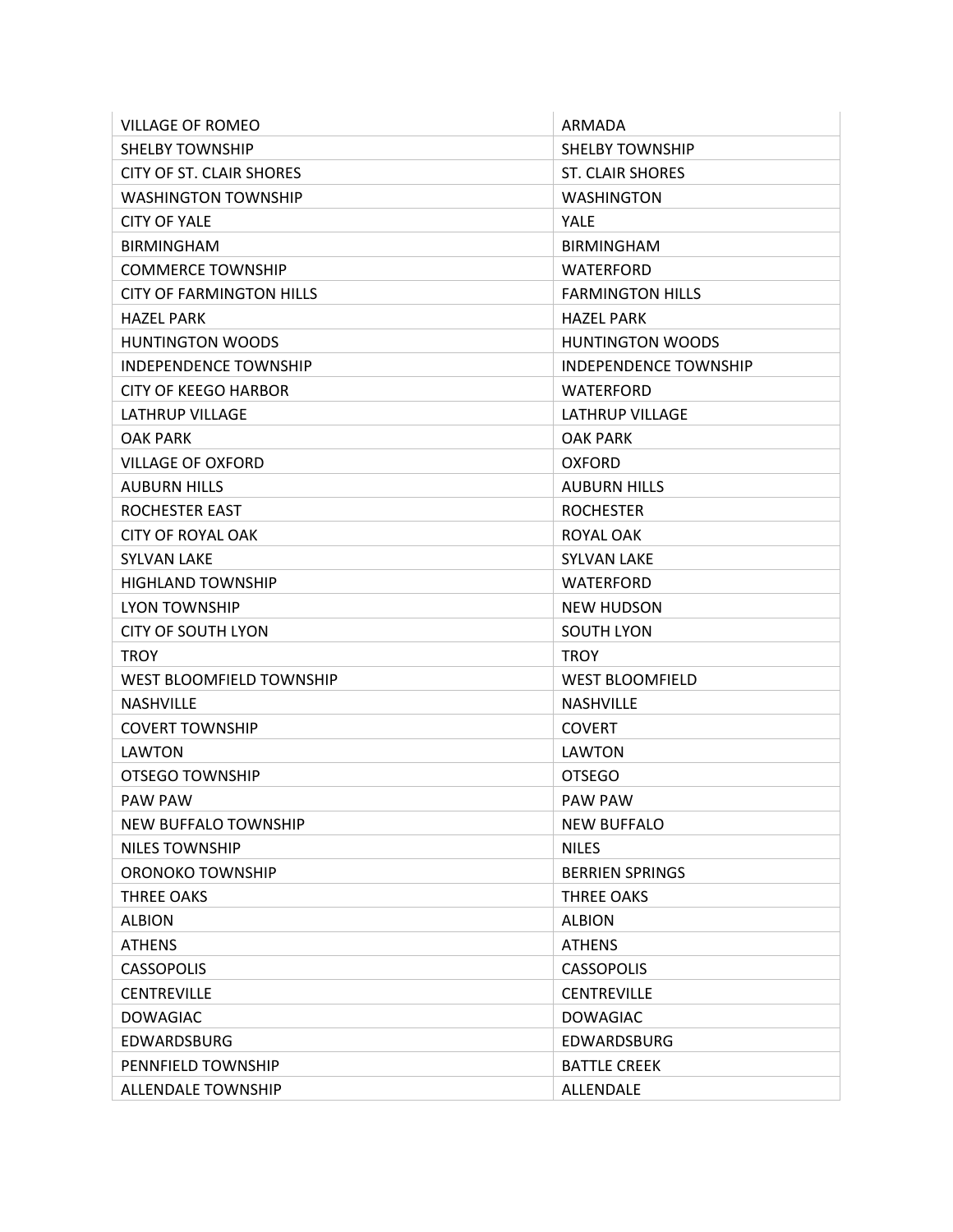| <b>VILLAGE OF ROMEO</b>         | ARMADA                       |
|---------------------------------|------------------------------|
| <b>SHELBY TOWNSHIP</b>          | <b>SHELBY TOWNSHIP</b>       |
| CITY OF ST. CLAIR SHORES        | <b>ST. CLAIR SHORES</b>      |
| <b>WASHINGTON TOWNSHIP</b>      | <b>WASHINGTON</b>            |
| <b>CITY OF YALE</b>             | <b>YALE</b>                  |
| <b>BIRMINGHAM</b>               | <b>BIRMINGHAM</b>            |
| <b>COMMERCE TOWNSHIP</b>        | <b>WATERFORD</b>             |
| <b>CITY OF FARMINGTON HILLS</b> | <b>FARMINGTON HILLS</b>      |
| <b>HAZEL PARK</b>               | <b>HAZEL PARK</b>            |
| <b>HUNTINGTON WOODS</b>         | <b>HUNTINGTON WOODS</b>      |
| <b>INDEPENDENCE TOWNSHIP</b>    | <b>INDEPENDENCE TOWNSHIP</b> |
| <b>CITY OF KEEGO HARBOR</b>     | <b>WATERFORD</b>             |
| <b>LATHRUP VILLAGE</b>          | <b>LATHRUP VILLAGE</b>       |
| <b>OAK PARK</b>                 | <b>OAK PARK</b>              |
| <b>VILLAGE OF OXFORD</b>        | <b>OXFORD</b>                |
| <b>AUBURN HILLS</b>             | <b>AUBURN HILLS</b>          |
| <b>ROCHESTER EAST</b>           | <b>ROCHESTER</b>             |
| <b>CITY OF ROYAL OAK</b>        | ROYAL OAK                    |
| <b>SYLVAN LAKE</b>              | <b>SYLVAN LAKE</b>           |
| <b>HIGHLAND TOWNSHIP</b>        | WATERFORD                    |
| <b>LYON TOWNSHIP</b>            | <b>NEW HUDSON</b>            |
| <b>CITY OF SOUTH LYON</b>       | <b>SOUTH LYON</b>            |
| <b>TROY</b>                     | <b>TROY</b>                  |
| <b>WEST BLOOMFIELD TOWNSHIP</b> | <b>WEST BLOOMFIELD</b>       |
| <b>NASHVILLE</b>                | <b>NASHVILLE</b>             |
| <b>COVERT TOWNSHIP</b>          | <b>COVERT</b>                |
| LAWTON                          | LAWTON                       |
| OTSEGO TOWNSHIP                 | <b>OTSEGO</b>                |
| <b>PAW PAW</b>                  | <b>PAW PAW</b>               |
| <b>NEW BUFFALO TOWNSHIP</b>     | <b>NEW BUFFALO</b>           |
| <b>NILES TOWNSHIP</b>           | <b>NILES</b>                 |
| ORONOKO TOWNSHIP                | <b>BERRIEN SPRINGS</b>       |
| <b>THREE OAKS</b>               | THREE OAKS                   |
| <b>ALBION</b>                   | <b>ALBION</b>                |
| <b>ATHENS</b>                   | <b>ATHENS</b>                |
| <b>CASSOPOLIS</b>               | <b>CASSOPOLIS</b>            |
| <b>CENTREVILLE</b>              | <b>CENTREVILLE</b>           |
| <b>DOWAGIAC</b>                 | <b>DOWAGIAC</b>              |
| <b>EDWARDSBURG</b>              | <b>EDWARDSBURG</b>           |
| PENNFIELD TOWNSHIP              | <b>BATTLE CREEK</b>          |
| ALLENDALE TOWNSHIP              | ALLENDALE                    |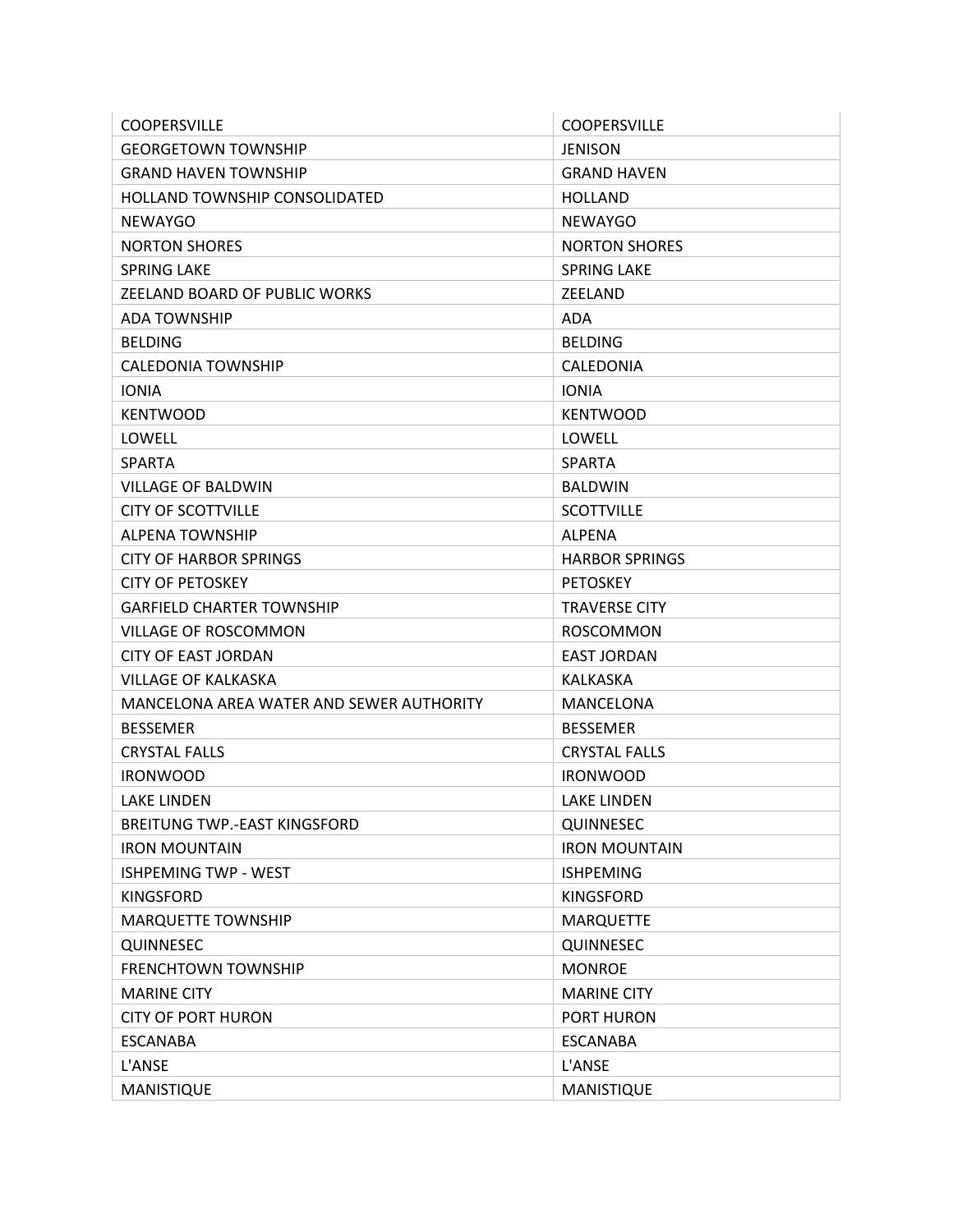| <b>COOPERSVILLE</b>                      | <b>COOPERSVILLE</b>   |
|------------------------------------------|-----------------------|
| <b>GEORGETOWN TOWNSHIP</b>               | <b>JENISON</b>        |
| <b>GRAND HAVEN TOWNSHIP</b>              | <b>GRAND HAVEN</b>    |
| <b>HOLLAND TOWNSHIP CONSOLIDATED</b>     | <b>HOLLAND</b>        |
| <b>NEWAYGO</b>                           | <b>NEWAYGO</b>        |
| <b>NORTON SHORES</b>                     | <b>NORTON SHORES</b>  |
| <b>SPRING LAKE</b>                       | <b>SPRING LAKE</b>    |
| ZEELAND BOARD OF PUBLIC WORKS            | ZEELAND               |
| ADA TOWNSHIP                             | ADA                   |
| <b>BELDING</b>                           | <b>BELDING</b>        |
| CALEDONIA TOWNSHIP                       | CALEDONIA             |
| <b>IONIA</b>                             | <b>IONIA</b>          |
| <b>KENTWOOD</b>                          | <b>KENTWOOD</b>       |
| LOWELL                                   | LOWELL                |
| <b>SPARTA</b>                            | <b>SPARTA</b>         |
| <b>VILLAGE OF BALDWIN</b>                | <b>BALDWIN</b>        |
| <b>CITY OF SCOTTVILLE</b>                | <b>SCOTTVILLE</b>     |
| <b>ALPENA TOWNSHIP</b>                   | <b>ALPENA</b>         |
| <b>CITY OF HARBOR SPRINGS</b>            | <b>HARBOR SPRINGS</b> |
| <b>CITY OF PETOSKEY</b>                  | <b>PETOSKEY</b>       |
| GARFIELD CHARTER TOWNSHIP                | <b>TRAVERSE CITY</b>  |
| <b>VILLAGE OF ROSCOMMON</b>              | <b>ROSCOMMON</b>      |
| <b>CITY OF EAST JORDAN</b>               | <b>EAST JORDAN</b>    |
| VILLAGE OF KALKASKA                      | <b>KALKASKA</b>       |
| MANCELONA AREA WATER AND SEWER AUTHORITY | MANCELONA             |
| <b>BESSEMER</b>                          | <b>BESSEMER</b>       |
| <b>CRYSTAL FALLS</b>                     | <b>CRYSTAL FALLS</b>  |
| <b>IRONWOOD</b>                          | <b>IRONWOOD</b>       |
| <b>LAKE LINDEN</b>                       | <b>LAKE LINDEN</b>    |
| BREITUNG TWP.-EAST KINGSFORD             | QUINNESEC             |
| <b>IRON MOUNTAIN</b>                     | <b>IRON MOUNTAIN</b>  |
| <b>ISHPEMING TWP - WEST</b>              | <b>ISHPEMING</b>      |
| <b>KINGSFORD</b>                         | <b>KINGSFORD</b>      |
| <b>MARQUETTE TOWNSHIP</b>                | <b>MARQUETTE</b>      |
| QUINNESEC                                | QUINNESEC             |
| <b>FRENCHTOWN TOWNSHIP</b>               | <b>MONROE</b>         |
| <b>MARINE CITY</b>                       | <b>MARINE CITY</b>    |
| <b>CITY OF PORT HURON</b>                | PORT HURON            |
| <b>ESCANABA</b>                          | <b>ESCANABA</b>       |
| L'ANSE                                   | L'ANSE                |
| MANISTIQUE                               | MANISTIQUE            |